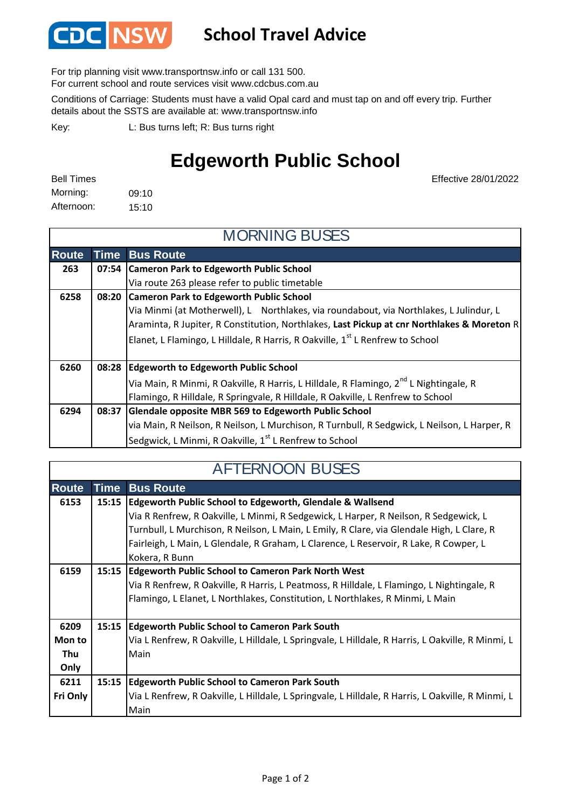

## **School Travel Advice**

For trip planning visit www.transportnsw.info or call 131 500.

For current school and route services visit www.cdcbus.com.au

Conditions of Carriage: Students must have a valid Opal card and must tap on and off every trip. Further details about the SSTS are available at: www.transportnsw.info

L: Bus turns left; R: Bus turns right Key:

## **Edgeworth Public School**

| <b>Bell Times</b> |       |
|-------------------|-------|
| Morning:          | 09:10 |
| Afternoon:        | 15:10 |

Effective 28/01/2022

| <b>MORNING BUSES</b> |             |                                                                                                   |  |
|----------------------|-------------|---------------------------------------------------------------------------------------------------|--|
| <b>Route</b>         | <b>Time</b> | <b>Bus Route</b>                                                                                  |  |
| 263                  |             | 07:54 Cameron Park to Edgeworth Public School                                                     |  |
|                      |             | Via route 263 please refer to public timetable                                                    |  |
| 6258                 |             | 08:20 Cameron Park to Edgeworth Public School                                                     |  |
|                      |             | Via Minmi (at Motherwell), L Northlakes, via roundabout, via Northlakes, L Julindur, L            |  |
|                      |             | Araminta, R Jupiter, R Constitution, Northlakes, Last Pickup at cnr Northlakes & Moreton R        |  |
|                      |             | Elanet, L Flamingo, L Hilldale, R Harris, R Oakville, 1 <sup>st</sup> L Renfrew to School         |  |
| 6260                 |             | 08:28 Edgeworth to Edgeworth Public School                                                        |  |
|                      |             | Via Main, R Minmi, R Oakville, R Harris, L Hilldale, R Flamingo, 2 <sup>nd</sup> L Nightingale, R |  |
|                      |             | Flamingo, R Hilldale, R Springvale, R Hilldale, R Oakville, L Renfrew to School                   |  |
| 6294                 | 08:37       | Glendale opposite MBR 569 to Edgeworth Public School                                              |  |
|                      |             | via Main, R Neilson, R Neilson, L Murchison, R Turnbull, R Sedgwick, L Neilson, L Harper, R       |  |
|                      |             | Sedgwick, L Minmi, R Oakville, 1 <sup>st</sup> L Renfrew to School                                |  |

## AFTERNOON BUSES

| <b>Route</b> | <b>Time</b> | <b>Bus Route</b>                                                                                  |  |
|--------------|-------------|---------------------------------------------------------------------------------------------------|--|
| 6153         | 15:15       | Edgeworth Public School to Edgeworth, Glendale & Wallsend                                         |  |
|              |             | Via R Renfrew, R Oakville, L Minmi, R Sedgewick, L Harper, R Neilson, R Sedgewick, L              |  |
|              |             | Turnbull, L Murchison, R Neilson, L Main, L Emily, R Clare, via Glendale High, L Clare, R         |  |
|              |             | Fairleigh, L Main, L Glendale, R Graham, L Clarence, L Reservoir, R Lake, R Cowper, L             |  |
|              |             | Kokera, R Bunn                                                                                    |  |
| 6159         | 15:15       | <b>Edgeworth Public School to Cameron Park North West</b>                                         |  |
|              |             | Via R Renfrew, R Oakville, R Harris, L Peatmoss, R Hilldale, L Flamingo, L Nightingale, R         |  |
|              |             | Flamingo, L Elanet, L Northlakes, Constitution, L Northlakes, R Minmi, L Main                     |  |
|              |             |                                                                                                   |  |
| 6209         | 15:15       | <b>Edgeworth Public School to Cameron Park South</b>                                              |  |
| Mon to       |             | Via L Renfrew, R Oakville, L Hilldale, L Springvale, L Hilldale, R Harris, L Oakville, R Minmi, L |  |
| Thu          |             | Main                                                                                              |  |
| Only         |             |                                                                                                   |  |
| 6211         | 15:15       | <b>Edgeworth Public School to Cameron Park South</b>                                              |  |
| Fri Only     |             | Via L Renfrew, R Oakville, L Hilldale, L Springvale, L Hilldale, R Harris, L Oakville, R Minmi, L |  |
|              |             | Main                                                                                              |  |